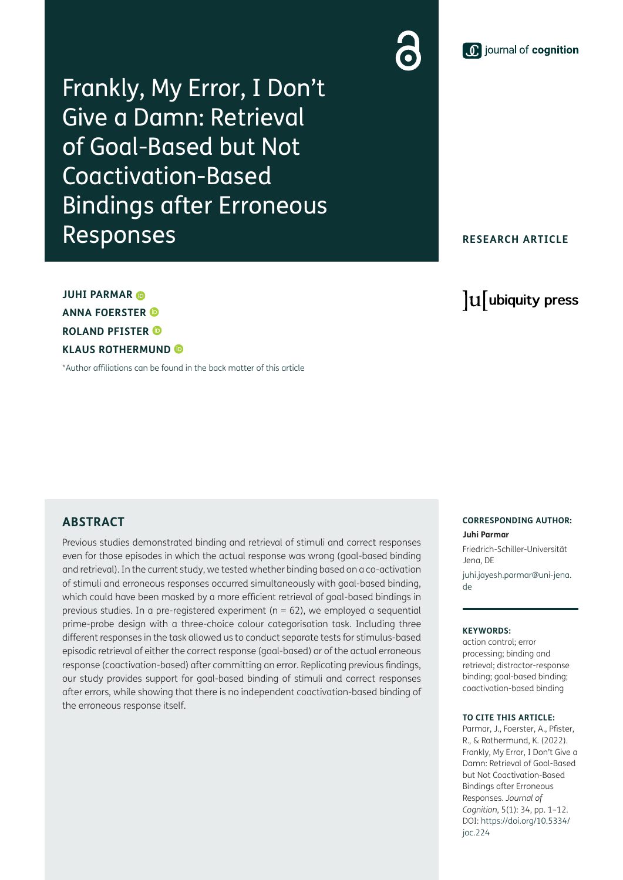# **1** journal of cognition

Frankly, My Error, I Don't Give a Damn: Retrieval of Goal-Based but Not Coactivation-Based Bindings after Erroneous Responses

## **RESEARCH ARTICLE**

lu ubiquity press

**JUHI PARMAR ANNA FOERSTER ROLAND PFISTER KLAUS ROTHERMUND**

[\\*Author affiliations can be found in the back matter of this article](#page-9-0)

## **ABSTRACT**

Previous studies demonstrated binding and retrieval of stimuli and correct responses even for those episodes in which the actual response was wrong (goal-based binding and retrieval). In the current study, we tested whether binding based on a co-activation of stimuli and erroneous responses occurred simultaneously with goal-based binding, which could have been masked by a more efficient retrieval of goal-based bindings in previous studies. In a pre-registered experiment ( $n = 62$ ), we employed a sequential prime-probe design with a three-choice colour categorisation task. Including three different responses in the task allowed us to conduct separate tests for stimulus-based episodic retrieval of either the correct response (goal-based) or of the actual erroneous response (coactivation-based) after committing an error. Replicating previous findings, our study provides support for goal-based binding of stimuli and correct responses after errors, while showing that there is no independent coactivation-based binding of the erroneous response itself.

#### **CORRESPONDING AUTHOR: Juhi Parmar**

Friedrich-Schiller-Universität Jena, DE

[juhi.jayesh.parmar@uni-jena.](mailto:juhi.jayesh.parmar@uni-jena.de) [de](mailto:juhi.jayesh.parmar@uni-jena.de)

#### **KEYWORDS:**

action control; error processing; binding and retrieval; distractor-response binding; goal-based binding; coactivation-based binding

#### **TO CITE THIS ARTICLE:**

Parmar, J., Foerster, A., Pfister, R., & Rothermund, K. (2022). Frankly, My Error, I Don't Give a Damn: Retrieval of Goal-Based but Not Coactivation-Based Bindings after Erroneous Responses. *Journal of Cognition*, 5(1): 34, pp. 1–12. DOI: [https://doi.org/10.5334/](https://doi.org/10.5334/joc.224) [joc.224](https://doi.org/10.5334/joc.224)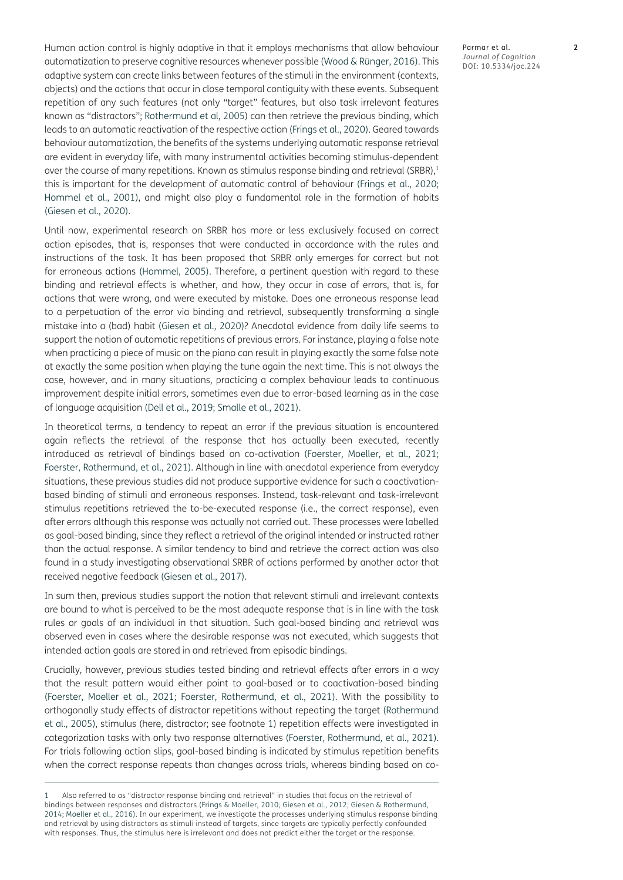Human action control is highly adaptive in that it employs mechanisms that allow behaviour automatization to preserve cognitive resources whenever possible ([Wood & Rünger, 2016\)](#page-10-0). This adaptive system can create links between features of the stimuli in the environment (contexts, objects) and the actions that occur in close temporal contiguity with these events. Subsequent repetition of any such features (not only "target" features, but also task irrelevant features known as "distractors"; [Rothermund et al, 2005](#page-10-1)) can then retrieve the previous binding, which leads to an automatic reactivation of the respective action ([Frings et al., 2020](#page-10-2)). Geared towards behaviour automatization, the benefits of the systems underlying automatic response retrieval are evident in everyday life, with many instrumental activities becoming stimulus-dependent over the course of many repetitions. Known as stimulus response binding and retrieval (SRBR).<sup>[1](#page-1-0)</sup> this is important for the development of automatic control of behaviour [\(Frings et al., 2020](#page-10-2); Hommel et al., 2001), and might also play a fundamental role in the formation of habits [\(Giesen et al., 2020\)](#page-10-3).

Until now, experimental research on SRBR has more or less exclusively focused on correct action episodes, that is, responses that were conducted in accordance with the rules and instructions of the task. It has been proposed that SRBR only emerges for correct but not for erroneous actions [\(Hommel, 2005\)](#page-10-4). Therefore, a pertinent question with regard to these binding and retrieval effects is whether, and how, they occur in case of errors, that is, for actions that were wrong, and were executed by mistake. Does one erroneous response lead to a perpetuation of the error via binding and retrieval, subsequently transforming a single mistake into a (bad) habit ([Giesen et al., 2020\)](#page-10-3)? Anecdotal evidence from daily life seems to support the notion of automatic repetitions of previous errors. For instance, playing a false note when practicing a piece of music on the piano can result in playing exactly the same false note at exactly the same position when playing the tune again the next time. This is not always the case, however, and in many situations, practicing a complex behaviour leads to continuous improvement despite initial errors, sometimes even due to error-based learning as in the case of language acquisition [\(Dell et al., 2019;](#page-10-5) [Smalle et al., 2021](#page-10-6)).

In theoretical terms, a tendency to repeat an error if the previous situation is encountered again reflects the retrieval of the response that has actually been executed, recently introduced as retrieval of bindings based on co-activation ([Foerster, Moeller, et al., 2021](#page-10-7); [Foerster, Rothermund, et al., 2021\)](#page-10-8). Although in line with anecdotal experience from everyday situations, these previous studies did not produce supportive evidence for such a coactivationbased binding of stimuli and erroneous responses. Instead, task-relevant and task-irrelevant stimulus repetitions retrieved the to-be-executed response (i.e., the correct response), even after errors although this response was actually not carried out. These processes were labelled as goal-based binding, since they reflect a retrieval of the original intended or instructed rather than the actual response. A similar tendency to bind and retrieve the correct action was also found in a study investigating observational SRBR of actions performed by another actor that received negative feedback ([Giesen et al., 2017\)](#page-10-9).

In sum then, previous studies support the notion that relevant stimuli and irrelevant contexts are bound to what is perceived to be the most adequate response that is in line with the task rules or goals of an individual in that situation. Such goal-based binding and retrieval was observed even in cases where the desirable response was not executed, which suggests that intended action goals are stored in and retrieved from episodic bindings.

Crucially, however, previous studies tested binding and retrieval effects after errors in a way that the result pattern would either point to goal-based or to coactivation-based binding [\(Foerster, Moeller et al., 2021;](#page-10-7) [Foerster, Rothermund, et al., 2021](#page-10-8)). With the possibility to orthogonally study effects of distractor repetitions without repeating the target [\(Rothermund](#page-10-1)  [et al., 2005](#page-10-1)), stimulus (here, distractor; see footnote [1](#page-1-0)) repetition effects were investigated in categorization tasks with only two response alternatives [\(Foerster, Rothermund, et al., 2021](#page-10-8)). For trials following action slips, goal-based binding is indicated by stimulus repetition benefits when the correct response repeats than changes across trials, whereas binding based on co-

<span id="page-1-0"></span>Also referred to as "distractor response binding and retrieval" in studies that focus on the retrieval of bindings between responses and distractors ([Frings & Moeller, 2010](#page-10-10); [Giesen et al., 2012;](#page-10-11) [Giesen & Rothermund,](#page-10-12)  [2014](#page-10-12); [Moeller et al., 2016](#page-10-13)). In our experiment, we investigate the processes underlying stimulus response binding and retrieval by using distractors as stimuli instead of targets, since targets are typically perfectly confounded with responses. Thus, the stimulus here is irrelevant and does not predict either the target or the response.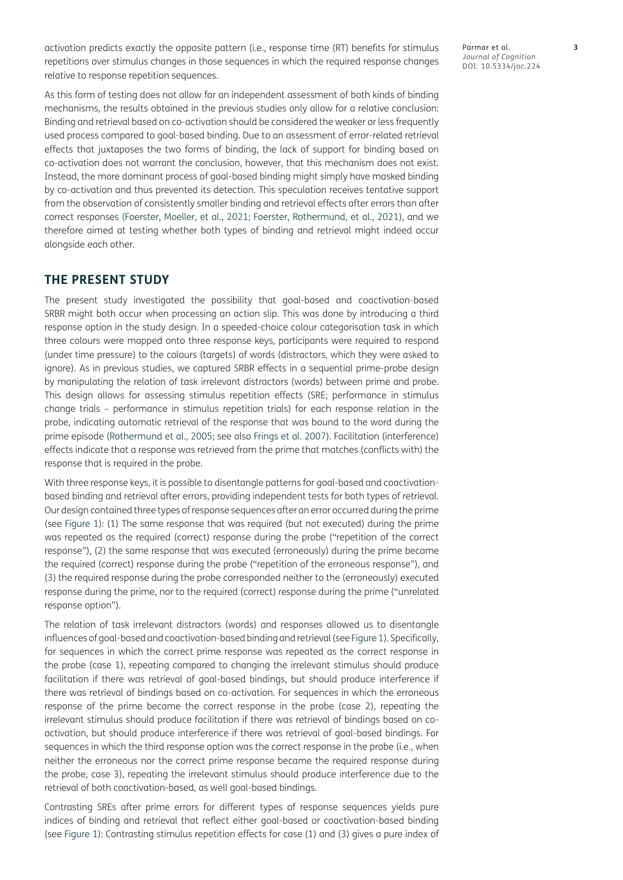activation predicts exactly the opposite pattern (i.e., response time (RT) benefits for stimulus repetitions over stimulus changes in those sequences in which the required response changes relative to response repetition sequences.

As this form of testing does not allow for an independent assessment of both kinds of binding mechanisms, the results obtained in the previous studies only allow for a relative conclusion: Binding and retrieval based on co-activation should be considered the weaker or less frequently used process compared to goal-based binding. Due to an assessment of error-related retrieval effects that juxtaposes the two forms of binding, the lack of support for binding based on co-activation does not warrant the conclusion, however, that this mechanism does not exist. Instead, the more dominant process of goal-based binding might simply have masked binding by co-activation and thus prevented its detection. This speculation receives tentative support from the observation of consistently smaller binding and retrieval effects after errors than after correct responses ([Foerster, Moeller, et al., 2021](#page-10-7); [Foerster, Rothermund, et al., 2021](#page-10-8)), and we therefore aimed at testing whether both types of binding and retrieval might indeed occur alongside each other.

## **THE PRESENT STUDY**

The present study investigated the possibility that goal-based and coactivation-based SRBR might both occur when processing an action slip. This was done by introducing a third response option in the study design. In a speeded-choice colour categorisation task in which three colours were mapped onto three response keys, participants were required to respond (under time pressure) to the colours (targets) of words (distractors, which they were asked to ignore). As in previous studies, we captured SRBR effects in a sequential prime-probe design by manipulating the relation of task irrelevant distractors (words) between prime and probe. This design allows for assessing stimulus repetition effects (SRE; performance in stimulus change trials – performance in stimulus repetition trials) for each response relation in the probe, indicating automatic retrieval of the response that was bound to the word during the prime episode ([Rothermund et al., 2005;](#page-10-1) see also [Frings et al. 2007\)](#page-10-14). Facilitation (interference) effects indicate that a response was retrieved from the prime that matches (conflicts with) the response that is required in the probe.

With three response keys, it is possible to disentangle patterns for goal-based and coactivationbased binding and retrieval after errors, providing independent tests for both types of retrieval. Our design contained three types of response sequences after an error occurred during the prime (see [Figure 1](#page-3-0)): (1) The same response that was required (but not executed) during the prime was repeated as the required (correct) response during the probe ("repetition of the correct response"), (2) the same response that was executed (erroneously) during the prime became the required (correct) response during the probe ("repetition of the erroneous response"), and (3) the required response during the probe corresponded neither to the (erroneously) executed response during the prime, nor to the required (correct) response during the prime ("unrelated response option").

The relation of task irrelevant distractors (words) and responses allowed us to disentangle influences of goal-based and coactivation-based binding and retrieval (see [Figure 1\)](#page-3-0). Specifically, for sequences in which the correct prime response was repeated as the correct response in the probe (case 1), repeating compared to changing the irrelevant stimulus should produce facilitation if there was retrieval of goal-based bindings, but should produce interference if there was retrieval of bindings based on co-activation. For sequences in which the erroneous response of the prime became the correct response in the probe (case 2), repeating the irrelevant stimulus should produce facilitation if there was retrieval of bindings based on coactivation, but should produce interference if there was retrieval of goal-based bindings. For sequences in which the third response option was the correct response in the probe (i.e., when neither the erroneous nor the correct prime response became the required response during the probe, case 3), repeating the irrelevant stimulus should produce interference due to the retrieval of both coactivation-based, as well goal-based bindings.

Contrasting SREs after prime errors for different types of response sequences yields pure indices of binding and retrieval that reflect either goal-based or coactivation-based binding (see [Figure 1\)](#page-3-0): Contrasting stimulus repetition effects for case (1) and (3) gives a pure index of Parmar et al. **3** *Journal of Cognition* DOI: 10.5334/joc.224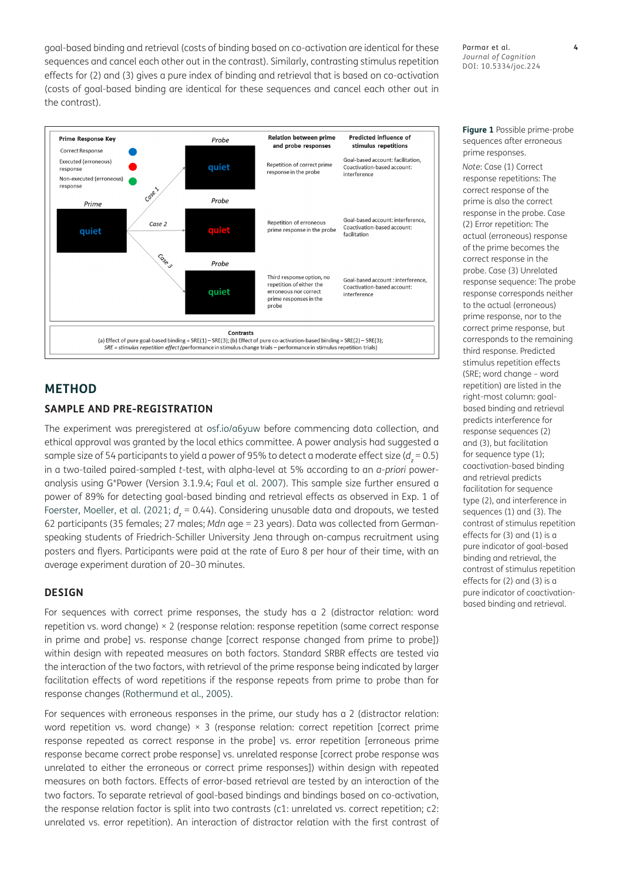goal-based binding and retrieval (costs of binding based on co-activation are identical for these sequences and cancel each other out in the contrast). Similarly, contrasting stimulus repetition effects for (2) and (3) gives a pure index of binding and retrieval that is based on co-activation (costs of goal-based binding are identical for these sequences and cancel each other out in the contrast).

Parmar et al. **4** *Journal of Cognition* DOI: 10.5334/joc.224



# **METHOD**

#### **SAMPLE AND PRE-REGISTRATION**

The experiment was preregistered at [osf.io/a6yuw](https://osf.io/a6yuw) before commencing data collection, and ethical approval was granted by the local ethics committee. A power analysis had suggested a sample size of 54 participants to yield a power of 95% to detect a moderate effect size (*d<sup>z</sup>* = 0.5) in a two-tailed paired-sampled *t*-test, with alpha-level at 5% according to an *a-priori* poweranalysis using G\*Power (Version 3.1.9.4; [Faul et al. 2007](#page-10-15)). This sample size further ensured a power of 89% for detecting goal-based binding and retrieval effects as observed in Exp. 1 of [Foerster, Moeller, et al. \(2021;](#page-10-7) *d<sup>z</sup>* = 0.44). Considering unusable data and dropouts, we tested 62 participants (35 females; 27 males; *Mdn* age = 23 years). Data was collected from Germanspeaking students of Friedrich-Schiller University Jena through on-campus recruitment using posters and flyers. Participants were paid at the rate of Euro 8 per hour of their time, with an average experiment duration of 20–30 minutes.

#### **DESIGN**

For sequences with correct prime responses, the study has a 2 (distractor relation: word repetition vs. word change) × 2 (response relation: response repetition (same correct response in prime and probe] vs. response change [correct response changed from prime to probe]) within design with repeated measures on both factors. Standard SRBR effects are tested via the interaction of the two factors, with retrieval of the prime response being indicated by larger facilitation effects of word repetitions if the response repeats from prime to probe than for response changes ([Rothermund et al., 2005](#page-10-1)).

For sequences with erroneous responses in the prime, our study has a 2 (distractor relation: word repetition vs. word change) × 3 (response relation: correct repetition [correct prime response repeated as correct response in the probe] vs. error repetition [erroneous prime response became correct probe response] vs. unrelated response [correct probe response was unrelated to either the erroneous or correct prime responses]) within design with repeated measures on both factors. Effects of error-based retrieval are tested by an interaction of the two factors. To separate retrieval of goal-based bindings and bindings based on co-activation, the response relation factor is split into two contrasts (c1: unrelated vs. correct repetition; c2: unrelated vs. error repetition). An interaction of distractor relation with the first contrast of <span id="page-3-0"></span>**Figure 1** Possible prime-probe sequences after erroneous prime responses.

*Note*: Case (1) Correct response repetitions: The correct response of the prime is also the correct response in the probe. Case (2) Error repetition: The actual (erroneous) response of the prime becomes the correct response in the probe. Case (3) Unrelated response sequence: The probe response corresponds neither to the actual (erroneous) prime response, nor to the correct prime response, but corresponds to the remaining third response. Predicted stimulus repetition effects (SRE; word change – word repetition) are listed in the right-most column: goalbased binding and retrieval predicts interference for response sequences (2) and (3), but facilitation for sequence type (1); coactivation-based binding and retrieval predicts facilitation for sequence type (2), and interference in sequences (1) and (3). The contrast of stimulus repetition effects for (3) and (1) is a pure indicator of goal-based binding and retrieval, the contrast of stimulus repetition effects for (2) and (3) is a pure indicator of coactivationbased binding and retrieval.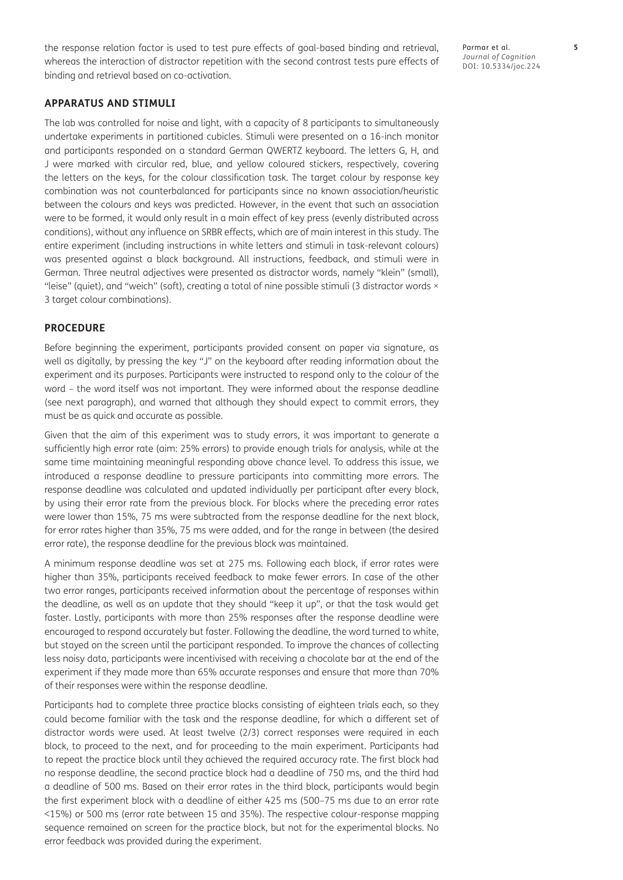the response relation factor is used to test pure effects of goal-based binding and retrieval, whereas the interaction of distractor repetition with the second contrast tests pure effects of binding and retrieval based on co-activation.

#### **APPARATUS AND STIMULI**

The lab was controlled for noise and light, with a capacity of 8 participants to simultaneously undertake experiments in partitioned cubicles. Stimuli were presented on a 16-inch monitor and participants responded on a standard German QWERTZ keyboard. The letters G, H, and J were marked with circular red, blue, and yellow coloured stickers, respectively, covering the letters on the keys, for the colour classification task. The target colour by response key combination was not counterbalanced for participants since no known association/heuristic between the colours and keys was predicted. However, in the event that such an association were to be formed, it would only result in a main effect of key press (evenly distributed across conditions), without any influence on SRBR effects, which are of main interest in this study. The entire experiment (including instructions in white letters and stimuli in task-relevant colours) was presented against a black background. All instructions, feedback, and stimuli were in German. Three neutral adjectives were presented as distractor words, namely "klein" (small), "leise" (quiet), and "weich" (soft), creating a total of nine possible stimuli (3 distractor words × 3 target colour combinations).

#### **PROCEDURE**

Before beginning the experiment, participants provided consent on paper via signature, as well as digitally, by pressing the key "J" on the keyboard after reading information about the experiment and its purposes. Participants were instructed to respond only to the colour of the word – the word itself was not important. They were informed about the response deadline (see next paragraph), and warned that although they should expect to commit errors, they must be as quick and accurate as possible.

Given that the aim of this experiment was to study errors, it was important to generate a sufficiently high error rate (aim: 25% errors) to provide enough trials for analysis, while at the same time maintaining meaningful responding above chance level. To address this issue, we introduced a response deadline to pressure participants into committing more errors. The response deadline was calculated and updated individually per participant after every block, by using their error rate from the previous block. For blocks where the preceding error rates were lower than 15%, 75 ms were subtracted from the response deadline for the next block, for error rates higher than 35%, 75 ms were added, and for the range in between (the desired error rate), the response deadline for the previous block was maintained.

A minimum response deadline was set at 275 ms. Following each block, if error rates were higher than 35%, participants received feedback to make fewer errors. In case of the other two error ranges, participants received information about the percentage of responses within the deadline, as well as an update that they should "keep it up", or that the task would get faster. Lastly, participants with more than 25% responses after the response deadline were encouraged to respond accurately but faster. Following the deadline, the word turned to white, but stayed on the screen until the participant responded. To improve the chances of collecting less noisy data, participants were incentivised with receiving a chocolate bar at the end of the experiment if they made more than 65% accurate responses and ensure that more than 70% of their responses were within the response deadline.

Participants had to complete three practice blocks consisting of eighteen trials each, so they could become familiar with the task and the response deadline, for which a different set of distractor words were used. At least twelve (2/3) correct responses were required in each block, to proceed to the next, and for proceeding to the main experiment. Participants had to repeat the practice block until they achieved the required accuracy rate. The first block had no response deadline, the second practice block had a deadline of 750 ms, and the third had a deadline of 500 ms. Based on their error rates in the third block, participants would begin the first experiment block with a deadline of either 425 ms (500–75 ms due to an error rate <15%) or 500 ms (error rate between 15 and 35%). The respective colour-response mapping sequence remained on screen for the practice block, but not for the experimental blocks. No error feedback was provided during the experiment.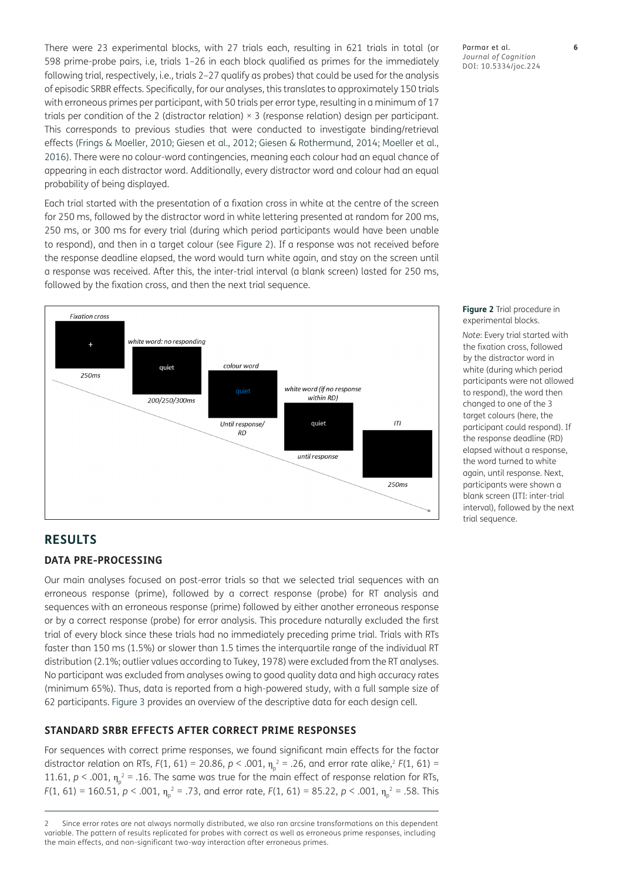There were 23 experimental blocks, with 27 trials each, resulting in 621 trials in total (or 598 prime-probe pairs, i.e, trials 1–26 in each block qualified as primes for the immediately following trial, respectively, i.e., trials 2–27 qualify as probes) that could be used for the analysis of episodic SRBR effects. Specifically, for our analyses, this translates to approximately 150 trials with erroneous primes per participant, with 50 trials per error type, resulting in a minimum of 17 trials per condition of the 2 (distractor relation) × 3 (response relation) design per participant. This corresponds to previous studies that were conducted to investigate binding/retrieval effects [\(Frings & Moeller, 2010](#page-10-10); [Giesen et al., 2012](#page-10-11); [Giesen & Rothermund, 2014](#page-10-12); [Moeller et al.,](#page-10-13)  [2016](#page-10-13)). There were no colour-word contingencies, meaning each colour had an equal chance of appearing in each distractor word. Additionally, every distractor word and colour had an equal probability of being displayed.

Each trial started with the presentation of a fixation cross in white at the centre of the screen for 250 ms, followed by the distractor word in white lettering presented at random for 200 ms, 250 ms, or 300 ms for every trial (during which period participants would have been unable to respond), and then in a target colour (see [Figure 2\)](#page-5-0). If a response was not received before the response deadline elapsed, the word would turn white again, and stay on the screen until a response was received. After this, the inter-trial interval (a blank screen) lasted for 250 ms, followed by the fixation cross, and then the next trial sequence.



#### Parmar et al. **6** *Journal of Cognition* DOI: 10.5334/joc.224

<span id="page-5-0"></span>**Figure 2** Trial procedure in experimental blocks.

*Note*: Every trial started with the fixation cross, followed by the distractor word in white (during which period participants were not allowed to respond), the word then changed to one of the 3 target colours (here, the participant could respond). If the response deadline (RD) elapsed without a response, the word turned to white again, until response. Next, participants were shown a blank screen (ITI: inter-trial interval), followed by the next trial sequence.

## **RESULTS**

#### **DATA PRE-PROCESSING**

Our main analyses focused on post-error trials so that we selected trial sequences with an erroneous response (prime), followed by a correct response (probe) for RT analysis and sequences with an erroneous response (prime) followed by either another erroneous response or by a correct response (probe) for error analysis. This procedure naturally excluded the first trial of every block since these trials had no immediately preceding prime trial. Trials with RTs faster than 150 ms (1.5%) or slower than 1.5 times the interquartile range of the individual RT distribution (2.1%; outlier values according to Tukey, 1978) were excluded from the RT analyses. No participant was excluded from analyses owing to good quality data and high accuracy rates (minimum 65%). Thus, data is reported from a high-powered study, with a full sample size of 62 participants. [Figure 3](#page-6-0) provides an overview of the descriptive data for each design cell.

#### **STANDARD SRBR EFFECTS AFTER CORRECT PRIME RESPONSES**

For sequences with correct prime responses, we found significant main effects for the factor distractor relation on RTs,  $F(1, 61) = 20.86$ ,  $p < .001$ ,  $\eta_{p}^{2} = .26$ , and error rate alike, $^{2}F(1, 61) =$ 11.61,  $p < .001$ ,  $\eta_p^2 = .16$ . The same was true for the main effect of response relation for RTs, *F*(1, 61) = 160.51, *p* < .001,  $\eta_{p}^{2}$  = .73, and error rate, *F*(1, 61) = 85.22, *p* < .001,  $\eta_{p}^{2}$  = .58. This

<span id="page-5-1"></span><sup>2</sup> Since error rates are not always normally distributed, we also ran arcsine transformations on this dependent variable. The pattern of results replicated for probes with correct as well as erroneous prime responses, including the main effects, and non-significant two-way interaction after erroneous primes.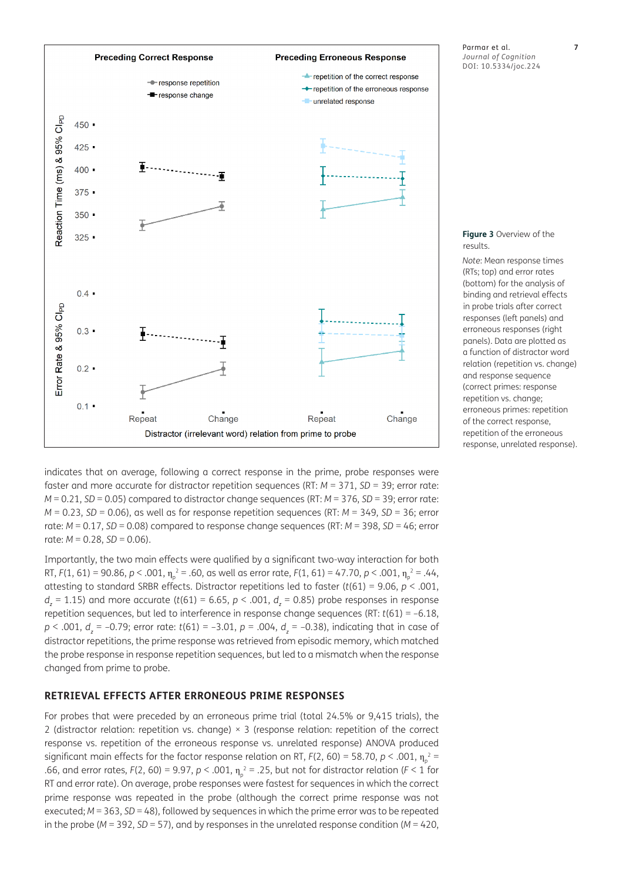

Parmar et al. **7** *Journal of Cognition* DOI: 10.5334/joc.224

<span id="page-6-0"></span>**Figure 3** Overview of the results.

*Note*: Mean response times (RTs; top) and error rates (bottom) for the analysis of binding and retrieval effects in probe trials after correct responses (left panels) and erroneous responses (right panels). Data are plotted as a function of distractor word relation (repetition vs. change) and response sequence (correct primes: response repetition vs. change; erroneous primes: repetition of the correct response, repetition of the erroneous response, unrelated response).

indicates that on average, following a correct response in the prime, probe responses were faster and more accurate for distractor repetition sequences (RT: *M* = 371, *SD* = 39; error rate: *M* = 0.21, *SD* = 0.05) compared to distractor change sequences (RT: *M* = 376, *SD* = 39; error rate: *M* = 0.23, *SD* = 0.06), as well as for response repetition sequences (RT: *M* = 349, *SD* = 36; error rate: *M* = 0.17, *SD* = 0.08) compared to response change sequences (RT: *M* = 398, *SD* = 46; error rate:  $M = 0.28$ ,  $SD = 0.06$ ).

Importantly, the two main effects were qualified by a significant two-way interaction for both RT, *F*(1, 61) = 90.86, *p* < .001,  $\eta_{\rho}^2$  = .60, as well as error rate, *F*(1, 61) = 47.70, *p* < .001,  $\eta_{\rho}^2$  = .44, attesting to standard SRBR effects. Distractor repetitions led to faster (*t*(61) = 9.06, *p* < .001, *dz* = 1.15) and more accurate (*t*(61) = 6.65, *p* < .001, *d<sup>z</sup>* = 0.85) probe responses in response repetition sequences, but led to interference in response change sequences (RT: *t*(61) = –6.18, *p* < .001, *d<sup>z</sup>* = –0.79; error rate: *t*(61) = –3.01, *p* = .004, *d<sup>z</sup>* = –0.38), indicating that in case of distractor repetitions, the prime response was retrieved from episodic memory, which matched the probe response in response repetition sequences, but led to a mismatch when the response changed from prime to probe.

#### **RETRIEVAL EFFECTS AFTER ERRONEOUS PRIME RESPONSES**

For probes that were preceded by an erroneous prime trial (total 24.5% or 9,415 trials), the 2 (distractor relation: repetition vs. change) × 3 (response relation: repetition of the correct response vs. repetition of the erroneous response vs. unrelated response) ANOVA produced significant main effects for the factor response relation on RT, *F*(2, 60) = 58.70, *p* < .001,  $\eta_{\rho}^{\;\;2}$  = .66, and error rates,  $F(2, 60) = 9.97$ ,  $p < .001$ ,  $\eta_p^2 = .25$ , but not for distractor relation ( $F < 1$  for RT and error rate). On average, probe responses were fastest for sequences in which the correct prime response was repeated in the probe (although the correct prime response was not executed; *M* = 363, *SD* = 48), followed by sequences in which the prime error was to be repeated in the probe (*M* = 392, *SD* = 57), and by responses in the unrelated response condition (*M* = 420,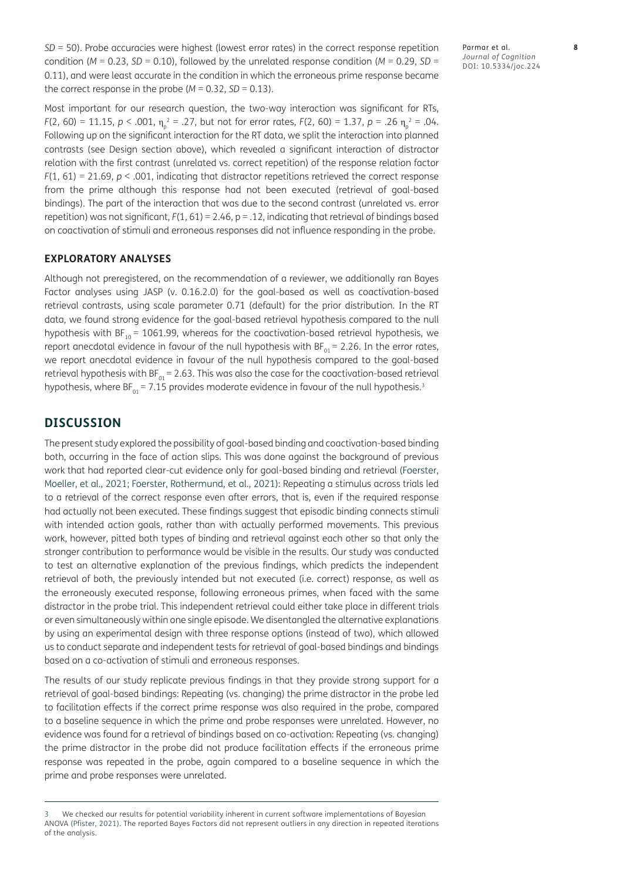*SD* = 50). Probe accuracies were highest (lowest error rates) in the correct response repetition condition ( $M = 0.23$ ,  $SD = 0.10$ ), followed by the unrelated response condition ( $M = 0.29$ ,  $SD =$ 0.11), and were least accurate in the condition in which the erroneous prime response became the correct response in the probe  $(M = 0.32, SD = 0.13)$ .

Most important for our research question, the two-way interaction was significant for RTs, *F*(2, 60) = 11.15, *p* < .001,  $\eta_p^2$  = .27, but not for error rates, *F*(2, 60) = 1.37, *p* = .26  $\eta_p^2$  = .04. Following up on the significant interaction for the RT data, we split the interaction into planned contrasts (see Design section above), which revealed a significant interaction of distractor relation with the first contrast (unrelated vs. correct repetition) of the response relation factor  $F(1, 61) = 21.69$ ,  $p < .001$ , indicating that distractor repetitions retrieved the correct response from the prime although this response had not been executed (retrieval of goal-based bindings). The part of the interaction that was due to the second contrast (unrelated vs. error repetition) was not significant, *F*(1, 61) = 2.46, p = .12, indicating that retrieval of bindings based on coactivation of stimuli and erroneous responses did not influence responding in the probe.

#### **EXPLORATORY ANALYSES**

Although not preregistered, on the recommendation of a reviewer, we additionally ran Bayes Factor analyses using JASP (v. 0.16.2.0) for the goal-based as well as coactivation-based retrieval contrasts, using scale parameter 0.71 (default) for the prior distribution. In the RT data, we found strong evidence for the goal-based retrieval hypothesis compared to the null hypothesis with BF<sub>10</sub> = 1061.99, whereas for the coactivation-based retrieval hypothesis, we report anecdotal evidence in favour of the null hypothesis with  $BF_{01} = 2.26$ . In the error rates, we report anecdotal evidence in favour of the null hypothesis compared to the goal-based retrieval hypothesis with  $BF_{01} = 2.63$ . This was also the case for the coactivation-based retrieval hypothesis, where  $BF_{01} = 7.15$  provides moderate evidence in favour of the null hypothesis.<sup>[3](#page-7-0)</sup>

#### **DISCUSSION**

The present study explored the possibility of goal-based binding and coactivation-based binding both, occurring in the face of action slips. This was done against the background of previous work that had reported clear-cut evidence only for goal-based binding and retrieval ([Foerster,](#page-10-7)  [Moeller, et al., 2021;](#page-10-7) [Foerster, Rothermund, et al., 2021](#page-10-8)): Repeating a stimulus across trials led to a retrieval of the correct response even after errors, that is, even if the required response had actually not been executed. These findings suggest that episodic binding connects stimuli with intended action goals, rather than with actually performed movements. This previous work, however, pitted both types of binding and retrieval against each other so that only the stronger contribution to performance would be visible in the results. Our study was conducted to test an alternative explanation of the previous findings, which predicts the independent retrieval of both, the previously intended but not executed (i.e. correct) response, as well as the erroneously executed response, following erroneous primes, when faced with the same distractor in the probe trial. This independent retrieval could either take place in different trials or even simultaneously within one single episode. We disentangled the alternative explanations by using an experimental design with three response options (instead of two), which allowed us to conduct separate and independent tests for retrieval of goal-based bindings and bindings based on a co-activation of stimuli and erroneous responses.

The results of our study replicate previous findings in that they provide strong support for a retrieval of goal-based bindings: Repeating (vs. changing) the prime distractor in the probe led to facilitation effects if the correct prime response was also required in the probe, compared to a baseline sequence in which the prime and probe responses were unrelated. However, no evidence was found for a retrieval of bindings based on co-activation: Repeating (vs. changing) the prime distractor in the probe did not produce facilitation effects if the erroneous prime response was repeated in the probe, again compared to a baseline sequence in which the prime and probe responses were unrelated.

<span id="page-7-0"></span><sup>3</sup> We checked our results for potential variability inherent in current software implementations of Bayesian ANOVA ([Pfister, 2021\)](#page-10-16). The reported Bayes Factors did not represent outliers in any direction in repeated iterations of the analysis.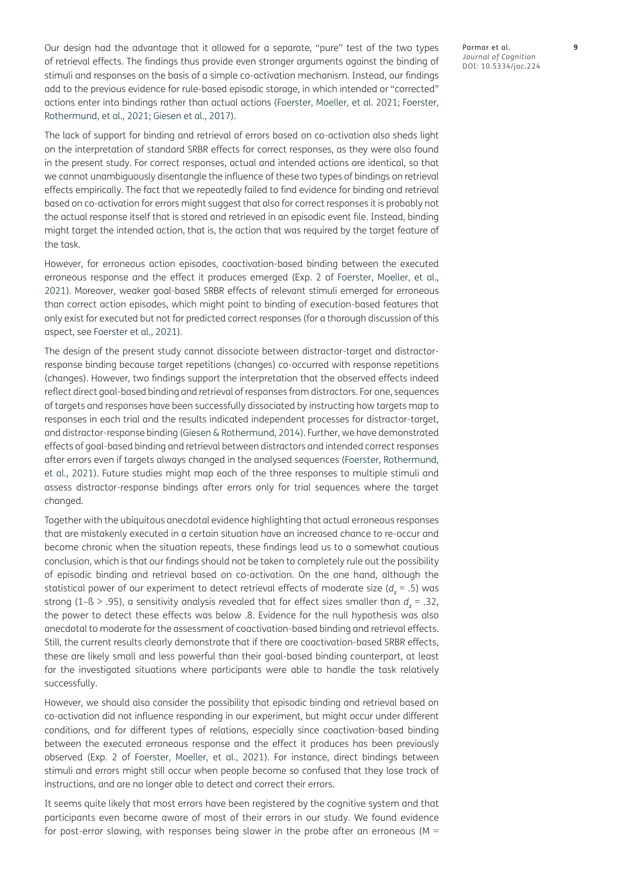Our design had the advantage that it allowed for a separate, "pure" test of the two types of retrieval effects. The findings thus provide even stronger arguments against the binding of stimuli and responses on the basis of a simple co-activation mechanism. Instead, our findings add to the previous evidence for rule-based episodic storage, in which intended or "corrected" actions enter into bindings rather than actual actions ([Foerster, Moeller, et al. 2021](#page-10-7); [Foerster,](#page-10-8)  [Rothermund, et al., 2021](#page-10-8); [Giesen et al., 2017\)](#page-10-9).

The lack of support for binding and retrieval of errors based on co-activation also sheds light on the interpretation of standard SRBR effects for correct responses, as they were also found in the present study. For correct responses, actual and intended actions are identical, so that we cannot unambiguously disentangle the influence of these two types of bindings on retrieval effects empirically. The fact that we repeatedly failed to find evidence for binding and retrieval based on co-activation for errors might suggest that also for correct responses it is probably not the actual response itself that is stored and retrieved in an episodic event file. Instead, binding might target the intended action, that is, the action that was required by the target feature of the task.

However, for erroneous action episodes, coactivation-based binding between the executed erroneous response and the effect it produces emerged (Exp. 2 of [Foerster, Moeller, et al.,](#page-10-7)  [2021](#page-10-7)). Moreover, weaker goal-based SRBR effects of relevant stimuli emerged for erroneous than correct action episodes, which might point to binding of execution-based features that only exist for executed but not for predicted correct responses (for a thorough discussion of this aspect, see [Foerster et al., 2021](#page-10-8)).

The design of the present study cannot dissociate between distractor-target and distractorresponse binding because target repetitions (changes) co-occurred with response repetitions (changes). However, two findings support the interpretation that the observed effects indeed reflect direct goal-based binding and retrieval of responses from distractors. For one, sequences of targets and responses have been successfully dissociated by instructing how targets map to responses in each trial and the results indicated independent processes for distractor-target, and distractor-response binding ([Giesen & Rothermund, 2014](#page-10-12)). Further, we have demonstrated effects of goal-based binding and retrieval between distractors and intended correct responses after errors even if targets always changed in the analysed sequences ([Foerster, Rothermund,](#page-10-8)  [et al., 2021](#page-10-8)). Future studies might map each of the three responses to multiple stimuli and assess distractor-response bindings after errors only for trial sequences where the target changed.

Together with the ubiquitous anecdotal evidence highlighting that actual erroneous responses that are mistakenly executed in a certain situation have an increased chance to re-occur and become chronic when the situation repeats, these findings lead us to a somewhat cautious conclusion, which is that our findings should not be taken to completely rule out the possibility of episodic binding and retrieval based on co-activation. On the one hand, although the statistical power of our experiment to detect retrieval effects of moderate size (*d<sup>z</sup>* = .5) was strong (1–ß > .95), a sensitivity analysis revealed that for effect sizes smaller than *d<sup>z</sup>* = .32, the power to detect these effects was below .8. Evidence for the null hypothesis was also anecdotal to moderate for the assessment of coactivation-based binding and retrieval effects. Still, the current results clearly demonstrate that if there are coactivation-based SRBR effects, these are likely small and less powerful than their goal-based binding counterpart, at least for the investigated situations where participants were able to handle the task relatively successfully.

However, we should also consider the possibility that episodic binding and retrieval based on co-activation did not influence responding in our experiment, but might occur under different conditions, and for different types of relations, especially since coactivation-based binding between the executed erroneous response and the effect it produces has been previously observed (Exp. 2 of [Foerster, Moeller, et al., 2021\)](#page-10-7). For instance, direct bindings between stimuli and errors might still occur when people become so confused that they lose track of instructions, and are no longer able to detect and correct their errors.

It seems quite likely that most errors have been registered by the cognitive system and that participants even became aware of most of their errors in our study. We found evidence for post-error slowing, with responses being slower in the probe after an erroneous ( $M =$ 

Parmar et al. **9** *Journal of Cognition* DOI: 10.5334/joc.224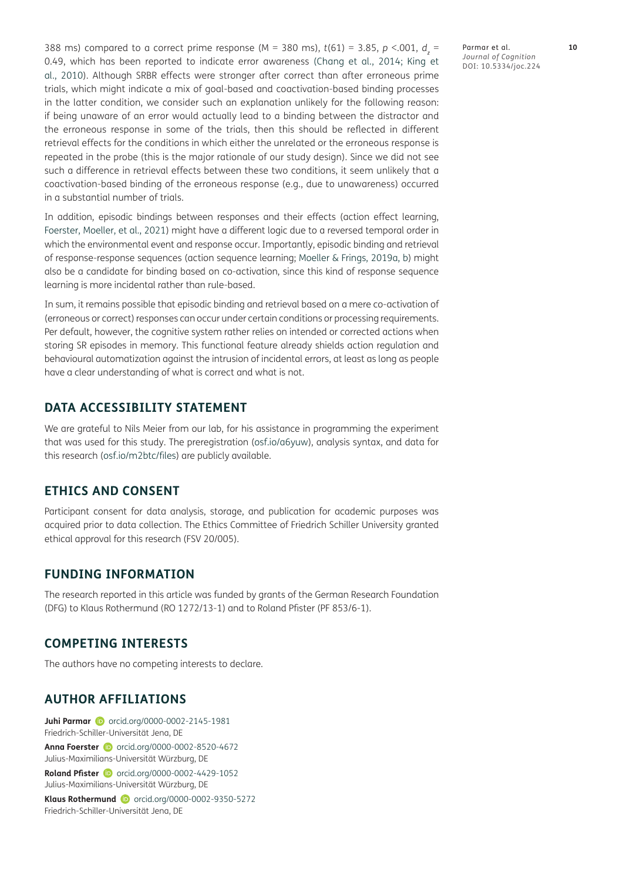388 ms) compared to a correct prime response (M = 380 ms), *t*(61) = 3.85, *p* <.001, *d<sup>z</sup>* = 0.49, which has been reported to indicate error awareness ([Chang et al., 2014;](#page-10-17) [King et](#page-10-18)  [al., 2010](#page-10-18)). Although SRBR effects were stronger after correct than after erroneous prime trials, which might indicate a mix of goal-based and coactivation-based binding processes in the latter condition, we consider such an explanation unlikely for the following reason: if being unaware of an error would actually lead to a binding between the distractor and the erroneous response in some of the trials, then this should be reflected in different retrieval effects for the conditions in which either the unrelated or the erroneous response is repeated in the probe (this is the major rationale of our study design). Since we did not see such a difference in retrieval effects between these two conditions, it seem unlikely that a coactivation-based binding of the erroneous response (e.g., due to unawareness) occurred in a substantial number of trials.

In addition, episodic bindings between responses and their effects (action effect learning, [Foerster, Moeller, et al., 2021\)](#page-10-7) might have a different logic due to a reversed temporal order in which the environmental event and response occur. Importantly, episodic binding and retrieval of response-response sequences (action sequence learning; [Moeller & Frings, 2019a](#page-10-19), [b](#page-10-20)) might also be a candidate for binding based on co-activation, since this kind of response sequence learning is more incidental rather than rule-based.

In sum, it remains possible that episodic binding and retrieval based on a mere co-activation of (erroneous or correct) responses can occur under certain conditions or processing requirements. Per default, however, the cognitive system rather relies on intended or corrected actions when storing SR episodes in memory. This functional feature already shields action regulation and behavioural automatization against the intrusion of incidental errors, at least as long as people have a clear understanding of what is correct and what is not.

# **DATA ACCESSIBILITY STATEMENT**

We are grateful to Nils Meier from our lab, for his assistance in programming the experiment that was used for this study. The preregistration [\(osf.io/a6yuw\)](https://osf.io/a6yuw), analysis syntax, and data for this research ([osf.io/m2btc/files](http://osf.io/m2btc/files)) are publicly available.

## **ETHICS AND CONSENT**

Participant consent for data analysis, storage, and publication for academic purposes was acquired prior to data collection. The Ethics Committee of Friedrich Schiller University granted ethical approval for this research (FSV 20/005).

### **FUNDING INFORMATION**

The research reported in this article was funded by grants of the German Research Foundation (DFG) to Klaus Rothermund (RO 1272/13-1) and to Roland Pfister (PF 853/6-1).

#### **COMPETING INTERESTS**

The authors have no competing interests to declare.

#### <span id="page-9-0"></span>**AUTHOR AFFILIATIONS**

**Juhi Parmar D** [orcid.org/0000-0002-2145-1981](https://orcid.org/0000-0002-2145-1981) Friedrich-Schiller-Universität Jena, DE **Anna Foerster iD** [orcid.org/0000-0002-8520-4672](https://orcid.org/0000-0002-8520-4672)

Julius-Maximilians-Universität Würzburg, DE

**Roland Pfister iD** [orcid.org/0000-0002-4429-1052](https://orcid.org/0000-0002-4429-1052) Julius-Maximilians-Universität Würzburg, DE

**Klaus Rothermund** D [orcid.org/0000-0002-9350-5272](https://orcid.org/0000-0002-9350-5272) Friedrich-Schiller-Universität Jena, DE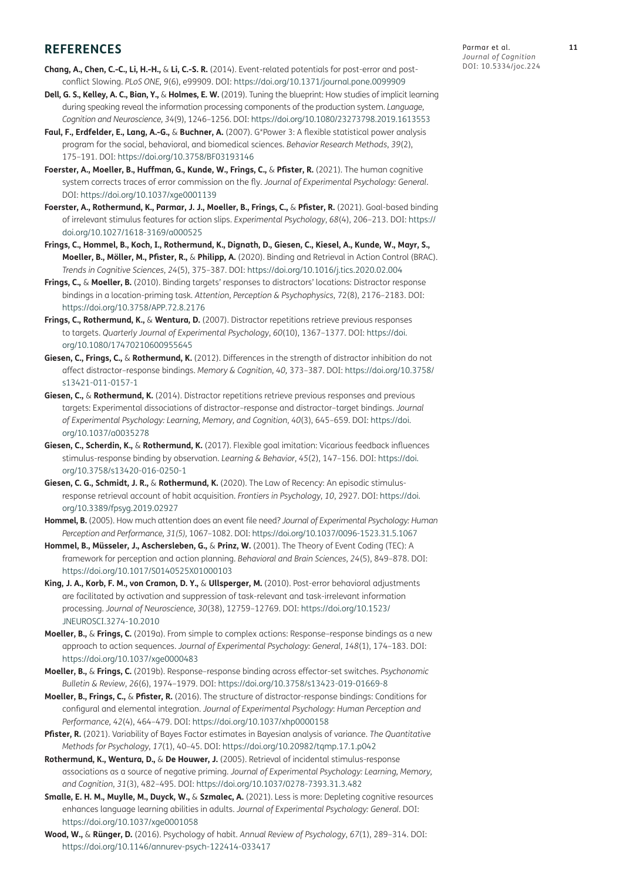# **REFERENCES**

- <span id="page-10-17"></span>**Chang, A., Chen, C.-C., Li, H.-H.,** & **Li, C.-S. R.** (2014). Event-related potentials for post-error and postconflict Slowing. *PLoS ONE, 9*(6), e99909. DOI: <https://doi.org/10.1371/journal.pone.0099909>
- <span id="page-10-5"></span>**Dell, G. S., Kelley, A. C., Bian, Y.,** & **Holmes, E. W.** (2019). Tuning the blueprint: How studies of implicit learning during speaking reveal the information processing components of the production system. *Language, Cognition and Neuroscience, 34*(9), 1246–1256. DOI:<https://doi.org/10.1080/23273798.2019.1613553>
- <span id="page-10-15"></span>**Faul, F., Erdfelder, E., Lang, A.-G.,** & **Buchner, A.** (2007). G\*Power 3: A flexible statistical power analysis program for the social, behavioral, and biomedical sciences. *Behavior Research Methods*, *39*(2), 175–191. DOI: <https://doi.org/10.3758/BF03193146>
- <span id="page-10-7"></span>**Foerster, A., Moeller, B., Huffman, G., Kunde, W., Frings, C.,** & **Pfister, R.** (2021). The human cognitive system corrects traces of error commission on the fly. *Journal of Experimental Psychology: General*. DOI:<https://doi.org/10.1037/xge0001139>
- <span id="page-10-8"></span>**Foerster, A., Rothermund, K., Parmar, J. J., Moeller, B., Frings, C.,** & **Pfister, R.** (2021). Goal-based binding of irrelevant stimulus features for action slips. *Experimental Psychology*, *68*(4), 206–213. DOI: [https://](https://doi.org/10.1027/1618-3169/a000525) [doi.org/10.1027/1618-3169/a000525](https://doi.org/10.1027/1618-3169/a000525)
- <span id="page-10-2"></span>**Frings, C., Hommel, B., Koch, I., Rothermund, K., Dignath, D., Giesen, C., Kiesel, A., Kunde, W., Mayr, S., Moeller, B., Möller, M., Pfister, R.,** & **Philipp, A.** (2020). Binding and Retrieval in Action Control (BRAC). *Trends in Cognitive Sciences*, *24*(5), 375–387. DOI:<https://doi.org/10.1016/j.tics.2020.02.004>
- <span id="page-10-10"></span>**Frings, C.,** & **Moeller, B.** (2010). Binding targets' responses to distractors' locations: Distractor response bindings in a location-priming task. *Attention, Perception & Psychophysics*, 72(8), 2176–2183. DOI: <https://doi.org/10.3758/APP.72.8.2176>
- <span id="page-10-14"></span>**Frings, C., Rothermund, K.,** & **Wentura, D.** (2007). Distractor repetitions retrieve previous responses to targets. *Quarterly Journal of Experimental Psychology*, *60*(10), 1367–1377. DOI: [https://doi.](https://doi.org/10.1080/17470210600955645) [org/10.1080/17470210600955645](https://doi.org/10.1080/17470210600955645)
- <span id="page-10-11"></span>**Giesen, C., Frings, C.,** & **Rothermund, K.** (2012). Differences in the strength of distractor inhibition do not affect distractor–response bindings. *Memory & Cognition, 40,* 373–387. DOI: [https://doi.org/10.3758/](https://doi.org/10.3758/s13421-011-0157-1) [s13421-011-0157-1](https://doi.org/10.3758/s13421-011-0157-1)
- <span id="page-10-12"></span>**Giesen, C.,** & **Rothermund, K.** (2014). Distractor repetitions retrieve previous responses and previous targets: Experimental dissociations of distractor–response and distractor–target bindings. *Journal of Experimental Psychology: Learning, Memory, and Cognition*, *40*(3), 645–659. DOI: [https://doi.](https://doi.org/10.1037/a0035278) [org/10.1037/a0035278](https://doi.org/10.1037/a0035278)
- <span id="page-10-9"></span>**Giesen, C., Scherdin, K.,** & **Rothermund, K.** (2017). Flexible goal imitation: Vicarious feedback influences stimulus-response binding by observation. *Learning & Behavior*, *45*(2), 147–156. DOI: [https://doi.](https://doi.org/10.3758/s13420-016-0250-1) [org/10.3758/s13420-016-0250-1](https://doi.org/10.3758/s13420-016-0250-1)
- <span id="page-10-3"></span>**Giesen, C. G., Schmidt, J. R.,** & **Rothermund, K.** (2020). The Law of Recency: An episodic stimulusresponse retrieval account of habit acquisition. *Frontiers in Psychology*, *10*, 2927. DOI: [https://doi.](https://doi.org/10.3389/fpsyg.2019.02927) [org/10.3389/fpsyg.2019.02927](https://doi.org/10.3389/fpsyg.2019.02927)
- <span id="page-10-4"></span>**Hommel, B.** (2005). How much attention does an event file need? *Journal of Experimental Psychology: Human Perception and Performance, 31(5),* 1067–1082. DOI:<https://doi.org/10.1037/0096-1523.31.5.1067>
- **Hommel, B., Müsseler, J., Aschersleben, G.,** & **Prinz, W.** (2001). The Theory of Event Coding (TEC): A framework for perception and action planning. *Behavioral and Brain Sciences*, *24*(5), 849–878. DOI: <https://doi.org/10.1017/S0140525X01000103>
- <span id="page-10-18"></span>**King, J. A., Korb, F. M., von Cramon, D. Y.,** & **Ullsperger, M.** (2010). Post-error behavioral adjustments are facilitated by activation and suppression of task-relevant and task-irrelevant information processing. *Journal of Neuroscience, 30*(38), 12759–12769. DOI: [https://doi.org/10.1523/](https://doi.org/10.1523/JNEUROSCI.3274-10.2010) [JNEUROSCI.3274-10.2010](https://doi.org/10.1523/JNEUROSCI.3274-10.2010)
- <span id="page-10-19"></span>**Moeller, B.,** & **Frings, C.** (2019a). From simple to complex actions: Response–response bindings as a new approach to action sequences. *Journal of Experimental Psychology: General*, *148*(1), 174–183. DOI: <https://doi.org/10.1037/xge0000483>
- <span id="page-10-20"></span>**Moeller, B.,** & **Frings, C.** (2019b). Response–response binding across effector-set switches. *Psychonomic Bulletin & Review*, *26*(6), 1974–1979. DOI: <https://doi.org/10.3758/s13423-019-01669-8>
- <span id="page-10-13"></span>**Moeller, B., Frings, C.,** & **Pfister, R.** (2016). The structure of distractor-response bindings: Conditions for configural and elemental integration. *Journal of Experimental Psychology*: *Human Perception and Performance, 42*(4), 464–479. DOI:<https://doi.org/10.1037/xhp0000158>
- <span id="page-10-16"></span>**Pfister, R.** (2021). Variability of Bayes Factor estimates in Bayesian analysis of variance. *The Quantitative Methods for Psychology*, *17*(1), 40–45. DOI: <https://doi.org/10.20982/tqmp.17.1.p042>
- <span id="page-10-1"></span>**Rothermund, K., Wentura, D.,** & **De Houwer, J.** (2005). Retrieval of incidental stimulus-response associations as a source of negative priming. *Journal of Experimental Psychology: Learning, Memory, and Cognition*, *31*(3), 482–495. DOI: <https://doi.org/10.1037/0278-7393.31.3.482>
- <span id="page-10-6"></span>**Smalle, E. H. M., Muylle, M., Duyck, W.,** & **Szmalec, A.** (2021). Less is more: Depleting cognitive resources enhances language learning abilities in adults. *Journal of Experimental Psychology: General.* DOI: <https://doi.org/10.1037/xge0001058>
- <span id="page-10-0"></span>**Wood, W.,** & **Rünger, D.** (2016). Psychology of habit. *Annual Review of Psychology*, *67*(1), 289–314. DOI: <https://doi.org/10.1146/annurev-psych-122414-033417>

Parmar et al. **11** *Journal of Cognition* DOI: 10.5334/joc.224